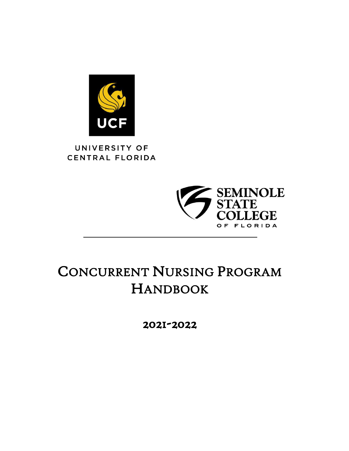

## UNIVERSITY OF CENTRAL FLORIDA



# CONCURRENT NURSING PROGRAM HANDBOOK

2021-2022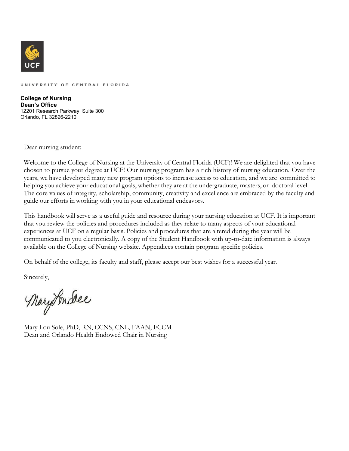

UNIVERSITY OF CENTRAL FLORIDA

**College of Nursing Dean's Office** 12201 Research Parkway, Suite 300 Orlando, FL 32826-2210

Dear nursing student:

Welcome to the College of Nursing at the University of Central Florida (UCF)! We are delighted that you have chosen to pursue your degree at UCF! Our nursing program has a rich history of nursing education. Over the years, we have developed many new program options to increase access to education, and we are committed to helping you achieve your educational goals, whether they are at the undergraduate, masters, or doctoral level. The core values of integrity, scholarship, community, creativity and excellence are embraced by the faculty and guide our efforts in working with you in your educational endeavors.

This handbook will serve as a useful guide and resource during your nursing education at UCF. It is important that you review the policies and procedures included as they relate to many aspects of your educational experiences at UCF on a regular basis. Policies and procedures that are altered during the year will be communicated to you electronically. A copy of the Student Handbook with up-to-date information is always available on the College of Nursing website. Appendices contain program specific policies.

On behalf of the college, its faculty and staff, please accept our best wishes for a successful year.

Sincerely,

MaryTondee

Mary Lou Sole, PhD, RN, CCNS, CNL, FAAN, FCCM Dean and Orlando Health Endowed Chair in Nursing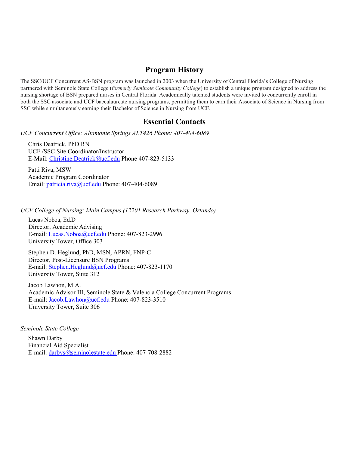## **Program History**

The SSC/UCF Concurrent AS-BSN program was launched in 2003 when the University of Central Florida's College of Nursing partnered with Seminole State College (*formerly Seminole Community College*) to establish a unique program designed to address the nursing shortage of BSN prepared nurses in Central Florida. Academically talented students were invited to concurrently enroll in both the SSC associate and UCF baccalaureate nursing programs, permitting them to earn their Associate of Science in Nursing from SSC while simultaneously earning their Bachelor of Science in Nursing from UCF.

## **Essential Contacts**

*UCF Concurrent Office: Altamonte Springs ALT426 Phone: 407-404-6089* 

Chris Deatrick, PhD RN UCF /SSC Site Coordinator/Instructor E-Mail: [Christine.Deatrick@ucf.edu P](mailto:Christine.Deatrick@ucf.edu)hone 407-823-5133

Patti Riva, MSW Academic Program Coordinator Email: *patricia.riva@ucf.edu Phone: 407-404-6089* 

*UCF College of Nursing: Main Campus (12201 Research Parkway, Orlando)* 

Lucas Noboa, Ed.D Director, Academic Advising E-mail[: Lucas.Noboa@ucf.edu P](mailto:%20Lucas.Noboa@ucf.edu)hone: 407-823-2996 University Tower, Office 303

Stephen D. Heglund, PhD, MSN, APRN, FNP-C Director, Post-Licensure BSN Programs E-mail: [Stephen.Heglund@ucf.edu](mailto:Stephen.Heglund@ucf.edu) Phone: 407-823-1170 University Tower, Suite 312

Jacob Lawhon, M.A. Academic Advisor III, Seminole State & Valencia College Concurrent Programs E-mail: [Jacob.Lawhon@ucf.edu](mailto:Jacob.Lawhon@ucf.edu) Phone: 407-823-3510 University Tower, Suite 306

*Seminole State College* 

Shawn Darby Financial Aid Specialist E-mail: [darbys@seminolestate.edu P](mailto:darbys@seminolestate.edu)hone: 407-708-2882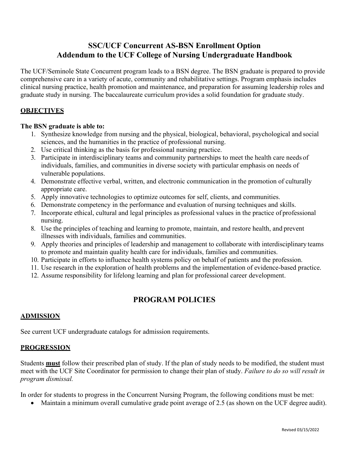## **SSC/UCF Concurrent AS-BSN Enrollment Option Addendum to the UCF College of Nursing Undergraduate Handbook**

The UCF/Seminole State Concurrent program leads to a BSN degree. The BSN graduate is prepared to provide comprehensive care in a variety of acute, community and rehabilitative settings. Program emphasis includes clinical nursing practice, health promotion and maintenance, and preparation for assuming leadership roles and graduate study in nursing. The baccalaureate curriculum provides a solid foundation for graduate study.

#### **OBJECTIVES**

#### **The BSN graduate is able to:**

- 1. Synthesize knowledge from nursing and the physical, biological, behavioral, psychological and social sciences, and the humanities in the practice of professional nursing.
- 2. Use critical thinking as the basis for professional nursing practice.
- 3. Participate in interdisciplinary teams and community partnerships to meet the health care needs of individuals, families, and communities in diverse society with particular emphasis on needs of vulnerable populations.
- 4. Demonstrate effective verbal, written, and electronic communication in the promotion of culturally appropriate care.
- 5. Apply innovative technologies to optimize outcomes for self, clients, and communities.
- 6. Demonstrate competency in the performance and evaluation of nursing techniques and skills.
- 7. Incorporate ethical, cultural and legal principles as professional values in the practice of professional nursing.
- 8. Use the principles of teaching and learning to promote, maintain, and restore health, and prevent illnesses with individuals, families and communities.
- 9. Apply theories and principles of leadership and management to collaborate with interdisciplinary teams to promote and maintain quality health care for individuals, families and communities.
- 10. Participate in efforts to influence health systems policy on behalf of patients and the profession.
- 11. Use research in the exploration of health problems and the implementation of evidence-based practice.
- 12. Assume responsibility for lifelong learning and plan for professional career development.

## **PROGRAM POLICIES**

#### **ADMISSION**

See current UCF undergraduate catalogs for admission requirements.

#### **PROGRESSION**

Students **must** follow their prescribed plan of study. If the plan of study needs to be modified, the student must meet with the UCF Site Coordinator for permission to change their plan of study. *Failure to do so will result in program dismissal.* 

In order for students to progress in the Concurrent Nursing Program, the following conditions must be met:

• Maintain a minimum overall cumulative grade point average of 2.5 (as shown on the UCF degree audit).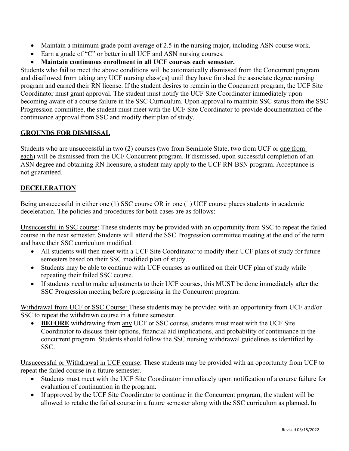- Maintain a minimum grade point average of 2.5 in the nursing major, including ASN course work.
- Earn a grade of "C" or better in all UCF and ASN nursing courses.

#### • **Maintain continuous enrollment in all UCF courses each semester.**

Students who fail to meet the above conditions will be automatically dismissed from the Concurrent program and disallowed from taking any UCF nursing class(es) until they have finished the associate degree nursing program and earned their RN license. If the student desires to remain in the Concurrent program, the UCF Site Coordinator must grant approval. The student must notify the UCF Site Coordinator immediately upon becoming aware of a course failure in the SSC Curriculum. Upon approval to maintain SSC status from the SSC Progression committee, the student must meet with the UCF Site Coordinator to provide documentation of the continuance approval from SSC and modify their plan of study.

#### **GROUNDS FOR DISMISSAL**

Students who are unsuccessful in two (2) courses (two from Seminole State, two from UCF or one from each) will be dismissed from the UCF Concurrent program. If dismissed, upon successful completion of an ASN degree and obtaining RN licensure, a student may apply to the UCF RN-BSN program. Acceptance is not guaranteed.

## **DECELERATION**

Being unsuccessful in either one (1) SSC course OR in one (1) UCF course places students in academic deceleration. The policies and procedures for both cases are as follows:

Unsuccessful in SSC course: These students may be provided with an opportunity from SSC to repeat the failed course in the next semester. Students will attend the SSC Progression committee meeting at the end of the term and have their SSC curriculum modified.

- All students will then meet with a UCF Site Coordinator to modify their UCF plans of study for future semesters based on their SSC modified plan of study.
- Students may be able to continue with UCF courses as outlined on their UCF plan of study while repeating their failed SSC course.
- If students need to make adjustments to their UCF courses, this MUST be done immediately after the SSC Progression meeting before progressing in the Concurrent program.

Withdrawal from UCF or SSC Course: These students may be provided with an opportunity from UCF and/or SSC to repeat the withdrawn course in a future semester.

• **BEFORE** withdrawing from any UCF or SSC course, students must meet with the UCF Site Coordinator to discuss their options, financial aid implications, and probability of continuance in the concurrent program. Students should follow the SSC nursing withdrawal guidelines as identified by SSC.

Unsuccessful or Withdrawal in UCF course: These students may be provided with an opportunity from UCF to repeat the failed course in a future semester.

- Students must meet with the UCF Site Coordinator immediately upon notification of a course failure for evaluation of continuation in the program.
- If approved by the UCF Site Coordinator to continue in the Concurrent program, the student will be allowed to retake the failed course in a future semester along with the SSC curriculum as planned. In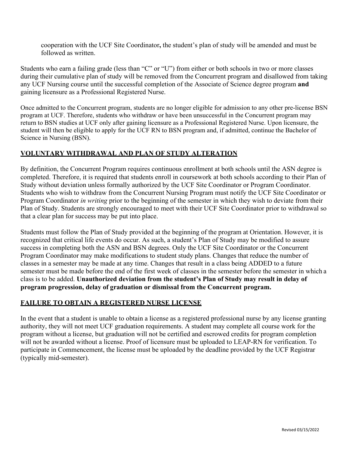cooperation with the UCF Site Coordinator**,** the student's plan of study will be amended and must be followed as written.

Students who earn a failing grade (less than "C" or "U") from either or both schools in two or more classes during their cumulative plan of study will be removed from the Concurrent program and disallowed from taking any UCF Nursing course until the successful completion of the Associate of Science degree program **and**  gaining licensure as a Professional Registered Nurse.

Once admitted to the Concurrent program, students are no longer eligible for admission to any other pre-license BSN program at UCF. Therefore, students who withdraw or have been unsuccessful in the Concurrent program may return to BSN studies at UCF only after gaining licensure as a Professional Registered Nurse. Upon licensure, the student will then be eligible to apply for the UCF RN to BSN program and, if admitted, continue the Bachelor of Science in Nursing (BSN).

#### **VOLUNTARY WITHDRAWAL AND PLAN OF STUDY ALTERATION**

By definition, the Concurrent Program requires continuous enrollment at both schools until the ASN degree is completed. Therefore, it is required that students enroll in coursework at both schools according to their Plan of Study without deviation unless formally authorized by the UCF Site Coordinator or Program Coordinator. Students who wish to withdraw from the Concurrent Nursing Program must notify the UCF Site Coordinator or Program Coordinator *in writing* prior to the beginning of the semester in which they wish to deviate from their Plan of Study. Students are strongly encouraged to meet with their UCF Site Coordinator prior to withdrawal so that a clear plan for success may be put into place.

Students must follow the Plan of Study provided at the beginning of the program at Orientation. However, it is recognized that critical life events do occur. As such, a student's Plan of Study may be modified to assure success in completing both the ASN and BSN degrees. Only the UCF Site Coordinator or the Concurrent Program Coordinator may make modifications to student study plans. Changes that reduce the number of classes in a semester may be made at any time. Changes that result in a class being ADDED to a future semester must be made before the end of the first week of classes in the semester before the semester in which a class is to be added. **Unauthorized deviation from the student's Plan of Study may result in delay of program progression, delay of graduation or dismissal from the Concurrent program.** 

#### **FAILURE TO OBTAIN A REGISTERED NURSE LICENSE**

In the event that a student is unable to obtain a license as a registered professional nurse by any license granting authority, they will not meet UCF graduation requirements. A student may complete all course work for the program without a license, but graduation will not be certified and escrowed credits for program completion will not be awarded without a license. Proof of licensure must be uploaded to LEAP-RN for verification. To participate in Commencement, the license must be uploaded by the deadline provided by the UCF Registrar (typically mid-semester).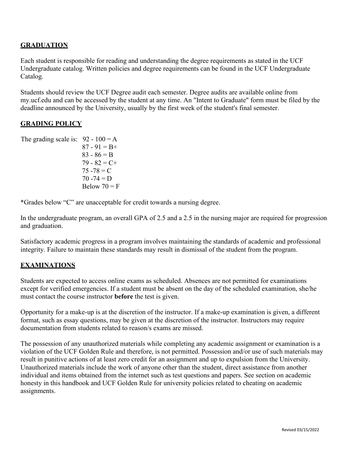## **GRADUATION**

Each student is responsible for reading and understanding the degree requirements as stated in the UCF Undergraduate catalog. Written policies and degree requirements can be found in the UCF Undergraduate Catalog.

Students should review the UCF Degree audit each semester. Degree audits are available online from my.ucf.edu and can be accessed by the student at any time. An "Intent to Graduate" form must be filed by the deadline announced by the University, usually by the first week of the student's final semester.

#### **GRADING POLICY**

The grading scale is:  $92 - 100 = A$  $87 - 91 = B +$  $83 - 86 = B$  $79 - 82 = C +$  $75 - 78 = C$  $70 - 74 = D$ Below  $70 = F$ 

\*Grades below "C" are unacceptable for credit towards a nursing degree.

In the undergraduate program, an overall GPA of 2.5 and a 2.5 in the nursing major are required for progression and graduation.

Satisfactory academic progress in a program involves maintaining the standards of academic and professional integrity. Failure to maintain these standards may result in dismissal of the student from the program.

## **EXAMINATIONS**

Students are expected to access online exams as scheduled. Absences are not permitted for examinations except for verified emergencies. If a student must be absent on the day of the scheduled examination, she/he must contact the course instructor **before** the test is given.

Opportunity for a make-up is at the discretion of the instructor. If a make-up examination is given, a different format, such as essay questions, may be given at the discretion of the instructor. Instructors may require documentation from students related to reason/s exams are missed.

The possession of any unauthorized materials while completing any academic assignment or examination is a violation of the UCF Golden Rule and therefore, is not permitted. Possession and/or use of such materials may result in punitive actions of at least zero credit for an assignment and up to expulsion from the University. Unauthorized materials include the work of anyone other than the student, direct assistance from another individual and items obtained from the internet such as test questions and papers. See section on academic honesty in this handbook and UCF Golden Rule for university policies related to cheating on academic assignments.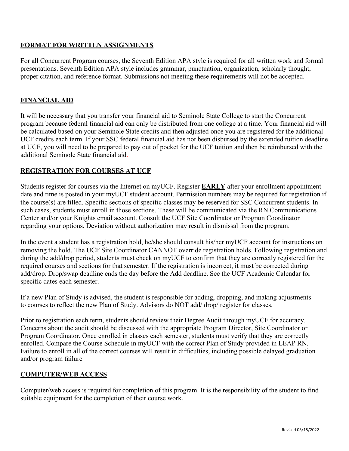#### **FORMAT FOR WRITTEN ASSIGNMENTS**

For all Concurrent Program courses, the Seventh Edition APA style is required for all written work and formal presentations. Seventh Edition APA style includes grammar, punctuation, organization, scholarly thought, proper citation, and reference format. Submissions not meeting these requirements will not be accepted.

## **FINANCIAL AID**

It will be necessary that you transfer your financial aid to Seminole State College to start the Concurrent program because federal financial aid can only be distributed from one college at a time. Your financial aid will be calculated based on your Seminole State credits and then adjusted once you are registered for the additional UCF credits each term. If your SSC federal financial aid has not been disbursed by the extended tuition deadline at UCF, you will need to be prepared to pay out of pocket for the UCF tuition and then be reimbursed with the additional Seminole State financial aid.

#### **REGISTRATION FOR COURSES AT UCF**

Students register for courses via the Internet on myUCF. Register **EARLY** after your enrollment appointment date and time is posted in your myUCF student account. Permission numbers may be required for registration if the course(s) are filled. Specific sections of specific classes may be reserved for SSC Concurrent students. In such cases, students must enroll in those sections. These will be communicated via the RN Communications Center and/or your Knights email account. Consult the UCF Site Coordinator or Program Coordinator regarding your options. Deviation without authorization may result in dismissal from the program.

In the event a student has a registration hold, he/she should consult his/her myUCF account for instructions on removing the hold. The UCF Site Coordinator CANNOT override registration holds. Following registration and during the add/drop period, students must check on myUCF to confirm that they are correctly registered for the required courses and sections for that semester. If the registration is incorrect, it must be corrected during add/drop. Drop/swap deadline ends the day before the Add deadline. See the UCF Academic Calendar for specific dates each semester.

If a new Plan of Study is advised, the student is responsible for adding, dropping, and making adjustments to courses to reflect the new Plan of Study. Advisors do NOT add/ drop/ register for classes.

Prior to registration each term, students should review their Degree Audit through myUCF for accuracy. Concerns about the audit should be discussed with the appropriate Program Director, Site Coordinator or Program Coordinator. Once enrolled in classes each semester, students must verify that they are correctly enrolled. Compare the Course Schedule in myUCF with the correct Plan of Study provided in LEAP RN. Failure to enroll in all of the correct courses will result in difficulties, including possible delayed graduation and/or program failure

#### **COMPUTER/WEB ACCESS**

Computer/web access is required for completion of this program. It is the responsibility of the student to find suitable equipment for the completion of their course work.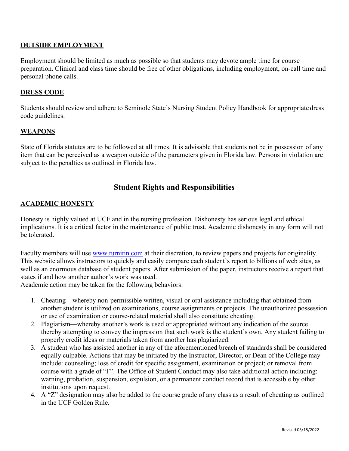#### **OUTSIDE EMPLOYMENT**

Employment should be limited as much as possible so that students may devote ample time for course preparation. Clinical and class time should be free of other obligations, including employment, on-call time and personal phone calls.

#### **DRESS CODE**

Students should review and adhere to Seminole State's Nursing Student Policy Handbook for appropriate dress code guidelines.

#### **WEAPONS**

State of Florida statutes are to be followed at all times. It is advisable that students not be in possession of any item that can be perceived as a weapon outside of the parameters given in Florida law. Persons in violation are subject to the penalties as outlined in Florida law.

## **Student Rights and Responsibilities**

#### **ACADEMIC HONESTY**

Honesty is highly valued at UCF and in the nursing profession. Dishonesty has serious legal and ethical implications. It is a critical factor in the maintenance of public trust. Academic dishonesty in any form will not be tolerated.

Faculty members will use [www.turnitin.com a](http://www.turnitin.com/)t their discretion, to review papers and projects for originality. This website allows instructors to quickly and easily compare each student's report to billions of web sites, as well as an enormous database of student papers. After submission of the paper, instructors receive a report that states if and how another author's work was used.

Academic action may be taken for the following behaviors:

- 1. Cheating—whereby non-permissible written, visual or oral assistance including that obtained from another student is utilized on examinations, course assignments or projects. The unauthorized possession or use of examination or course-related material shall also constitute cheating.
- 2. Plagiarism—whereby another's work is used or appropriated without any indication of the source thereby attempting to convey the impression that such work is the student's own. Any student failing to properly credit ideas or materials taken from another has plagiarized.
- 3. A student who has assisted another in any of the aforementioned breach of standards shall be considered equally culpable. Actions that may be initiated by the Instructor, Director, or Dean of the College may include: counseling; loss of credit for specific assignment, examination or project; or removal from course with a grade of "F". The Office of Student Conduct may also take additional action including: warning, probation, suspension, expulsion, or a permanent conduct record that is accessible by other institutions upon request.
- 4. A "Z" designation may also be added to the course grade of any class as a result of cheating as outlined in the UCF Golden Rule.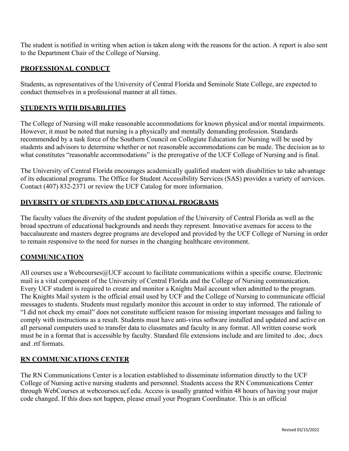The student is notified in writing when action is taken along with the reasons for the action. A report is also sent to the Department Chair of the College of Nursing.

#### **PROFESSIONAL CONDUCT**

Students, as representatives of the University of Central Florida and Seminole State College, are expected to conduct themselves in a professional manner at all times.

#### **STUDENTS WITH DISABILITIES**

The College of Nursing will make reasonable accommodations for known physical and/or mental impairments. However, it must be noted that nursing is a physically and mentally demanding profession. Standards recommended by a task force of the Southern Council on Collegiate Education for Nursing will be used by students and advisors to determine whether or not reasonable accommodations can be made. The decision as to what constitutes "reasonable accommodations" is the prerogative of the UCF College of Nursing and is final.

The University of Central Florida encourages academically qualified student with disabilities to take advantage of its educational programs. The Office for Student Accessibility Services (SAS) provides a variety of services. Contact (407) 832-2371 or review the UCF Catalog for more information.

#### **DIVERSITY OF STUDENTS AND EDUCATIONAL PROGRAMS**

The faculty values the diversity of the student population of the University of Central Florida as well as the broad spectrum of educational backgrounds and needs they represent. Innovative avenues for access to the baccalaureate and masters degree programs are developed and provided by the UCF College of Nursing in order to remain responsive to the need for nurses in the changing healthcare environment.

#### **COMMUNICATION**

All courses use a Webcourses @UCF account to facilitate communications within a specific course. Electronic mail is a vital component of the University of Central Florida and the College of Nursing communication. Every UCF student is required to create and monitor a Knights Mail account when admitted to the program. The Knights Mail system is the official email used by UCF and the College of Nursing to communicate official messages to students. Students must regularly monitor this account in order to stay informed. The rationale of "I did not check my email" does not constitute sufficient reason for missing important messages and failing to comply with instructions as a result. Students must have anti-virus software installed and updated and active on all personal computers used to transfer data to classmates and faculty in any format. All written course work must be in a format that is accessible by faculty. Standard file extensions include and are limited to .doc, .docx and .rtf formats.

#### **RN COMMUNICATIONS CENTER**

The RN Communications Center is a location established to disseminate information directly to the UCF College of Nursing active nursing students and personnel. Students access the RN Communications Center through WebCourses at webcourses.ucf.edu. Access is usually granted within 48 hours of having your major code changed. If this does not happen, please email your Program Coordinator. This is an official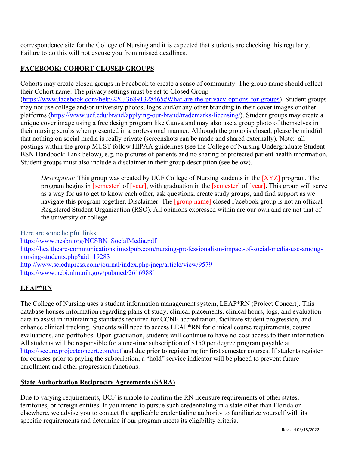correspondence site for the College of Nursing and it is expected that students are checking this regularly. Failure to do this will not excuse you from missed deadlines.

## **FACEBOOK: COHORT CLOSED GROUPS**

Cohorts may create closed groups in Facebook to create a sense of community. The group name should reflect their Cohort name. The privacy settings must be set to Closed Group [\(https://www.facebook.com/help/220336891328465#What-are-the-privacy-options-for-groups\)](https://na01.safelinks.protection.outlook.com/?url=https%3A%2F%2Fwww.facebook.com%2Fhelp%2F220336891328465%23What-are-the-privacy-options-for-groups&data=02%7C01%7C%7C930e265273044a6052ad08d5d6e24946%7Cbb932f15ef3842ba91fcf3c59d5dd1f1%7C0%7C0%7C636651189724185423&sdata=SIGGf1Q5pKvvQthWcO5pFgTG7cNEWgY9VFR35DqdO2Y%3D&reserved=0). Student groups may not use college and/or university photos, logos and/or any other branding in their cover images or other platforms [\(https://www.ucf.edu/brand/applying-our-brand/trademarks-licensing/\)](https://www.ucf.edu/brand/applying-our-brand/trademarks-licensing/). Student groups may create a unique cover image using a free design program like Canva and may also use a group photo of themselves in their nursing scrubs when presented in a professional manner. Although the group is closed, please be mindful that nothing on social media is really private (screenshots can be made and shared externally). Note: all postings within the group MUST follow HIPAA guidelines (see the College of Nursing Undergraduate Student BSN Handbook: Link below), e.g. no pictures of patients and no sharing of protected patient health information. Student groups must also include a disclaimer in their group description (see below).

*Description:* This group was created by UCF College of Nursing students in the [XYZ] program. The program begins in [semester] of [year], with graduation in the [semester] of [year]. This group will serve as a way for us to get to know each other, ask questions, create study groups, and find support as we navigate this program together. Disclaimer: The [group name] closed Facebook group is not an official Registered Student Organization (RSO). All opinions expressed within are our own and are not that of the university or college.

Here are some helpful links: [https://www.ncsbn.org/NCSBN\\_SocialMedia.pdf](https://na01.safelinks.protection.outlook.com/?url=https%3A%2F%2Fwww.ncsbn.org%2FNCSBN_SocialMedia.pdf&data=02%7C01%7C%7Ccc8b823ddeb54bf57cc408d5dab81cc5%7Cbb932f15ef3842ba91fcf3c59d5dd1f1%7C0%7C0%7C636655406635436370&sdata=O5lKtbBmkVEwFUMeJTb%2B4M19tRTz08%2FplFBmJh%2Fmqms%3D&reserved=0) [https://healthcare-communications.imedpub.com/nursing-professionalism-impact-of-social-media-use-among](https://healthcare-communications.imedpub.com/nursing-professionalism-impact-of-social-media-use-among-nursing-students.php?aid=19283)[nursing-students.php?aid=19283](https://healthcare-communications.imedpub.com/nursing-professionalism-impact-of-social-media-use-among-nursing-students.php?aid=19283) [http://www.sciedupress.com/journal/index.php/jnep/article/view/9579](https://na01.safelinks.protection.outlook.com/?url=http%3A%2F%2Fwww.sciedupress.com%2Fjournal%2Findex.php%2Fjnep%2Farticle%2Fview%2F9579&data=02%7C01%7C%7Cd6309d2a8994408fe56308d5dab8a154%7Cbb932f15ef3842ba91fcf3c59d5dd1f1%7C0%7C0%7C636655408862019531&sdata=JrwcFilwr0qm1VqF78qLcnCxIF24PDoKXe%2FGu7r%2BptM%3D&reserved=0) [https://www.ncbi.nlm.nih.gov/pubmed/26169881](https://na01.safelinks.protection.outlook.com/?url=https%3A%2F%2Fwww.ncbi.nlm.nih.gov%2Fpubmed%2F26169881&data=02%7C01%7C%7Cd6309d2a8994408fe56308d5dab8a154%7Cbb932f15ef3842ba91fcf3c59d5dd1f1%7C0%7C0%7C636655408862019531&sdata=BAX0fCIKAaa4BpsLLJTSK6hkfnvNHfydJu%2BgeRGxazI%3D&reserved=0)

## **LEAP\*RN**

The College of Nursing uses a student information management system, LEAP\*RN (Project Concert). This database houses information regarding plans of study, clinical placements, clinical hours, logs, and evaluation data to assist in maintaining standards required for CCNE accreditation, facilitate student progression, and enhance clinical tracking. Students will need to access LEAP\*RN for clinical course requirements, course evaluations, and portfolios. Upon graduation, students will continue to have no-cost access to their information. All students will be responsible for a one-time subscription of \$150 per degree program payable at [https://secure.projectconcert.com/ucf a](https://na01.safelinks.protection.outlook.com/?url=https%3A%2F%2Fsecure.projectconcert.com%2Fucf&data=02%7C01%7CJessica.Simmons%40ucf.edu%7C4cf93954806b477fb33708d6668f63de%7Cbb932f15ef3842ba91fcf3c59d5dd1f1%7C0%7C0%7C636809163370886194&sdata=Mop7I9WQZH1siQHV9eVPPRM6FE4fCg83xRLS6pRZ2Ig%3D&reserved=0)nd due prior to registering for first semester courses. If students register for courses prior to paying the subscription, a "hold" service indicator will be placed to prevent future enrollment and other progression functions.

## **State Authorization Reciprocity Agreements (SARA)**

Due to varying requirements, UCF is unable to confirm the RN licensure requirements of other states, territories, or foreign entities. If you intend to pursue such credentialing in a state other than Florida or elsewhere, we advise you to contact the applicable credentialing authority to familiarize yourself with its specific requirements and determine if our program meets its eligibility criteria.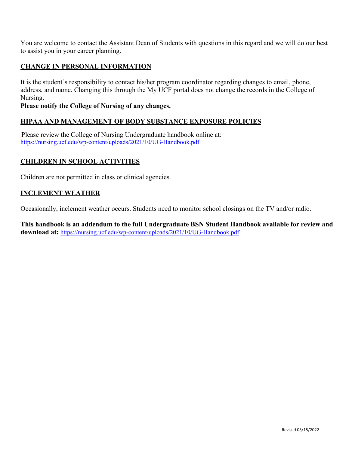You are welcome to contact the Assistant Dean of Students with questions in this regard and we will do our best to assist you in your career planning.

## **CHANGE IN PERSONAL INFORMATION**

It is the student's responsibility to contact his/her program coordinator regarding changes to email, phone, address, and name. Changing this through the My UCF portal does not change the records in the College of Nursing.

#### **Please notify the College of Nursing of any changes.**

#### **HIPAA AND MANAGEMENT OF BODY SUBSTANCE EXPOSURE POLICIES**

 Please review the College of Nursing Undergraduate handbook online at: <https://nursing.ucf.edu/wp-content/uploads/2021/10/UG-Handbook.pdf>

#### **CHILDREN IN SCHOOL ACTIVITIES**

Children are not permitted in class or clinical agencies.

#### **INCLEMENT WEATHER**

Occasionally, inclement weather occurs. Students need to monitor school closings on the TV and/or radio.

**This handbook is an addendum to the full Undergraduate BSN Student Handbook available for review and download at:** <https://nursing.ucf.edu/wp-content/uploads/2021/10/UG-Handbook.pdf>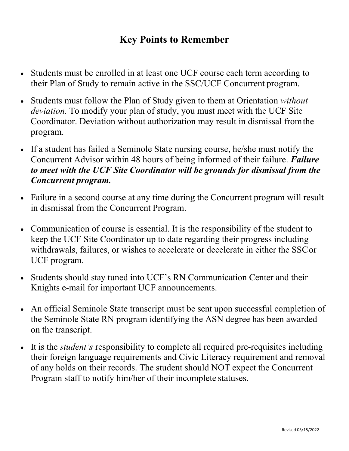## **Key Points to Remember**

- Students must be enrolled in at least one UCF course each term according to their Plan of Study to remain active in the SSC/UCF Concurrent program.
- Students must follow the Plan of Study given to them at Orientation *without deviation.* To modify your plan of study, you must meet with the UCF Site Coordinator. Deviation without authorization may result in dismissal fromthe program.
- If a student has failed a Seminole State nursing course, he/she must notify the Concurrent Advisor within 48 hours of being informed of their failure. *Failure to meet with the UCF Site Coordinator will be grounds for dismissal from the Concurrent program.*
- Failure in a second course at any time during the Concurrent program will result in dismissal from the Concurrent Program.
- Communication of course is essential. It is the responsibility of the student to keep the UCF Site Coordinator up to date regarding their progress including withdrawals, failures, or wishes to accelerate or decelerate in either the SSCor UCF program.
- Students should stay tuned into UCF's RN Communication Center and their Knights e-mail for important UCF announcements.
- An official Seminole State transcript must be sent upon successful completion of the Seminole State RN program identifying the ASN degree has been awarded on the transcript.
- It is the *student's* responsibility to complete all required pre-requisites including their foreign language requirements and Civic Literacy requirement and removal of any holds on their records. The student should NOT expect the Concurrent Program staff to notify him/her of their incomplete statuses.